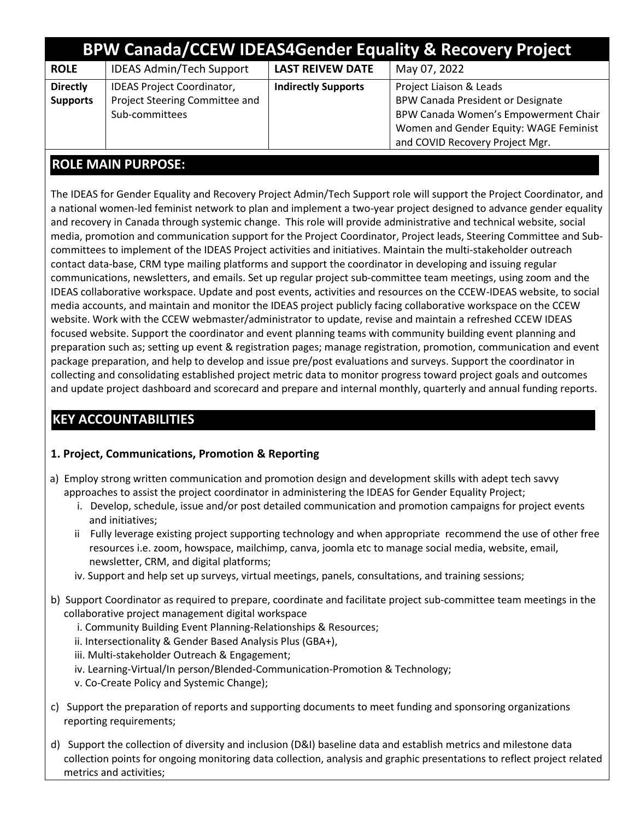| <b>BPW Canada/CCEW IDEAS4Gender Equality &amp; Recovery Project</b> |                                                                                       |                            |                                                                                                                                                                                          |  |
|---------------------------------------------------------------------|---------------------------------------------------------------------------------------|----------------------------|------------------------------------------------------------------------------------------------------------------------------------------------------------------------------------------|--|
| <b>ROLE</b>                                                         | <b>IDEAS Admin/Tech Support</b>                                                       | <b>LAST REIVEW DATE</b>    | May 07, 2022                                                                                                                                                                             |  |
| <b>Directly</b><br><b>Supports</b>                                  | <b>IDEAS Project Coordinator,</b><br>Project Steering Committee and<br>Sub-committees | <b>Indirectly Supports</b> | Project Liaison & Leads<br><b>BPW Canada President or Designate</b><br>BPW Canada Women's Empowerment Chair<br>Women and Gender Equity: WAGE Feminist<br>and COVID Recovery Project Mgr. |  |

### **ROLE MAIN PURPOSE:**

The IDEAS for Gender Equality and Recovery Project Admin/Tech Support role will support the Project Coordinator, and a national women-led feminist network to plan and implement a two-year project designed to advance gender equality and recovery in Canada through systemic change. This role will provide administrative and technical website, social media, promotion and communication support for the Project Coordinator, Project leads, Steering Committee and Subcommittees to implement of the IDEAS Project activities and initiatives. Maintain the multi-stakeholder outreach contact data-base, CRM type mailing platforms and support the coordinator in developing and issuing regular communications, newsletters, and emails. Set up regular project sub-committee team meetings, using zoom and the IDEAS collaborative workspace. Update and post events, activities and resources on the CCEW-IDEAS website, to social media accounts, and maintain and monitor the IDEAS project publicly facing collaborative workspace on the CCEW website. Work with the CCEW webmaster/administrator to update, revise and maintain a refreshed CCEW IDEAS focused website. Support the coordinator and event planning teams with community building event planning and preparation such as; setting up event & registration pages; manage registration, promotion, communication and event package preparation, and help to develop and issue pre/post evaluations and surveys. Support the coordinator in collecting and consolidating established project metric data to monitor progress toward project goals and outcomes and update project dashboard and scorecard and prepare and internal monthly, quarterly and annual funding reports.

# **KEY ACCOUNTABILITIES**

#### **1. Project, Communications, Promotion & Reporting**

- a) Employ strong written communication and promotion design and development skills with adept tech savvy approaches to assist the project coordinator in administering the IDEAS for Gender Equality Project;
	- i. Develop, schedule, issue and/or post detailed communication and promotion campaigns for project events and initiatives;
	- ii Fully leverage existing project supporting technology and when appropriate recommend the use of other free resources i.e. zoom, howspace, mailchimp, canva, joomla etc to manage social media, website, email, newsletter, CRM, and digital platforms;
	- iv. Support and help set up surveys, virtual meetings, panels, consultations, and training sessions;
- b) Support Coordinator as required to prepare, coordinate and facilitate project sub-committee team meetings in the collaborative project management digital workspace
	- i. Community Building Event Planning-Relationships & Resources;
	- ii. Intersectionality & Gender Based Analysis Plus (GBA+),
	- iii. Multi-stakeholder Outreach & Engagement;
	- iv. Learning-Virtual/In person/Blended-Communication-Promotion & Technology;
	- v. Co-Create Policy and Systemic Change);
- c) Support the preparation of reports and supporting documents to meet funding and sponsoring organizations reporting requirements;
- d) Support the collection of diversity and inclusion (D&I) baseline data and establish metrics and milestone data collection points for ongoing monitoring data collection, analysis and graphic presentations to reflect project related metrics and activities;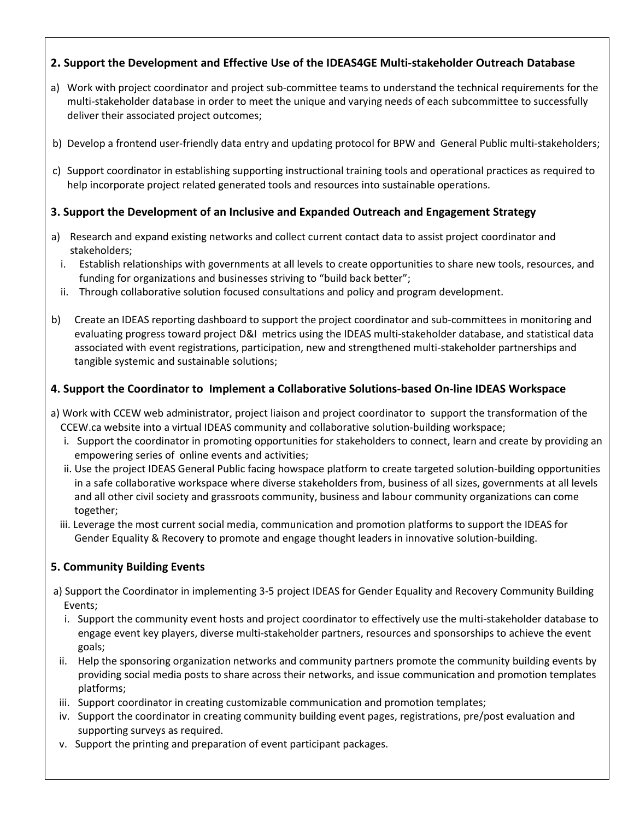#### **2. Support the Development and Effective Use of the IDEAS4GE Multi-stakeholder Outreach Database**

- a) Work with project coordinator and project sub-committee teams to understand the technical requirements for the multi-stakeholder database in order to meet the unique and varying needs of each subcommittee to successfully deliver their associated project outcomes;
- b) b) Develop a frontend user-friendly data entry and updating protocol for BPW and General Public multi-stakeholders;
- c) Support coordinator in establishing supporting instructional training tools and operational practices as required to help incorporate project related generated tools and resources into sustainable operations.

#### **3. Support the Development of an Inclusive and Expanded Outreach and Engagement Strategy**

- a) Research and expand existing networks and collect current contact data to assist project coordinator and stakeholders;
	- i. Establish relationships with governments at all levels to create opportunities to share new tools, resources, and funding for organizations and businesses striving to "build back better";
	- ii. Through collaborative solution focused consultations and policy and program development.
- b) Create an IDEAS reporting dashboard to support the project coordinator and sub-committees in monitoring and evaluating progress toward project D&I metrics using the IDEAS multi-stakeholder database, and statistical data associated with event registrations, participation, new and strengthened multi-stakeholder partnerships and tangible systemic and sustainable solutions;

#### **4. Support the Coordinator to Implement a Collaborative Solutions-based On-line IDEAS Workspace**

- a) Work with CCEW web administrator, project liaison and project coordinator to support the transformation of the CCEW.ca website into a virtual IDEAS community and collaborative solution-building workspace;
	- i. Support the coordinator in promoting opportunities for stakeholders to connect, learn and create by providing an empowering series of online events and activities;
	- ii. Use the project IDEAS General Public facing howspace platform to create targeted solution-building opportunities in a safe collaborative workspace where diverse stakeholders from, business of all sizes, governments at all levels and all other civil society and grassroots community, business and labour community organizations can come together;
	- iii. Leverage the most current social media, communication and promotion platforms to support the IDEAS for Gender Equality & Recovery to promote and engage thought leaders in innovative solution-building.

#### **5. Community Building Events**

- a) Support the Coordinator in implementing 3-5 project IDEAS for Gender Equality and Recovery Community Building Events;
	- i. Support the community event hosts and project coordinator to effectively use the multi-stakeholder database to engage event key players, diverse multi-stakeholder partners, resources and sponsorships to achieve the event goals;
- ii. Help the sponsoring organization networks and community partners promote the community building events by providing social media posts to share across their networks, and issue communication and promotion templates platforms;
- iii. Support coordinator in creating customizable communication and promotion templates;
- iv. Support the coordinator in creating community building event pages, registrations, pre/post evaluation and supporting surveys as required.
- v. Support the printing and preparation of event participant packages.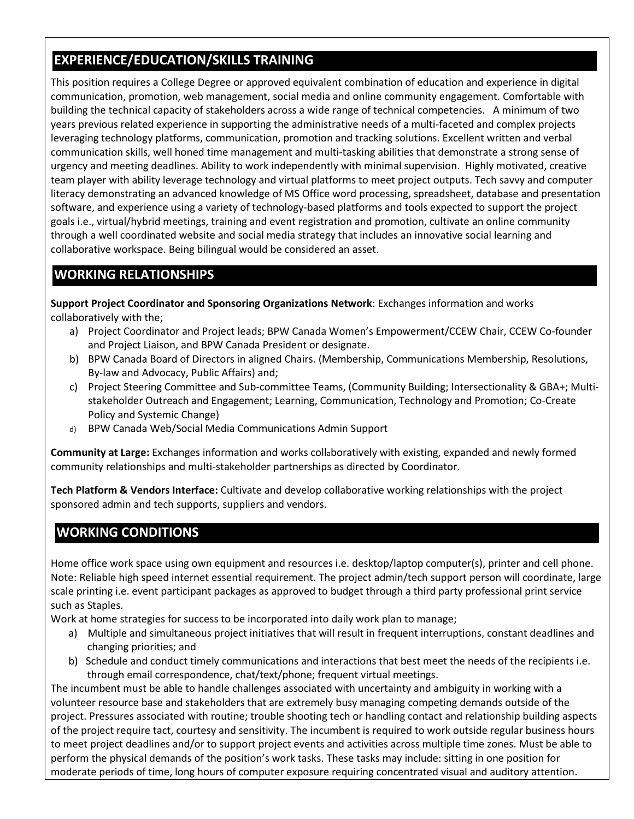# **EXPERIENCE/EDUCATION/SKILLS TRAINING**

This position requires a College Degree or approved equivalent combination of education and experience in digital communication, promotion, web management, social media and online community engagement. Comfortable with building the technical capacity of stakeholders across a wide range of technical competencies. A minimum of two years previous related experience in supporting the administrative needs of a multi-faceted and complex projects leveraging technology platforms, communication, promotion and tracking solutions. Excellent written and verbal communication skills, well honed time management and multi-tasking abilities that demonstrate a strong sense of urgency and meeting deadlines. Ability to work independently with minimal supervision. Highly motivated, creative team player with ability leverage technology and virtual platforms to meet project outputs. Tech savvy and computer literacy demonstrating an advanced knowledge of MS Office word processing, spreadsheet, database and presentation software, and experience using a variety of technology-based platforms and tools expected to support the project goals i.e., virtual/hybrid meetings, training and event registration and promotion, cultivate an online community through a well coordinated website and social media strategy that includes an innovative social learning and collaborative workspace. Being bilingual would be considered an asset.

### **WORKING RELATIONSHIPS**

**Support Project Coordinator and Sponsoring Organizations Network**: Exchanges information and works collaboratively with the;

- a) Project Coordinator and Project leads; BPW Canada Women's Empowerment/CCEW Chair, CCEW Co-founder and Project Liaison, and BPW Canada President or designate.
- b) BPW Canada Board of Directors in aligned Chairs. (Membership, Communications Membership, Resolutions, By-law and Advocacy, Public Affairs) and;
- c) Project Steering Committee and Sub-committee Teams, (Community Building; Intersectionality & GBA+; Multistakeholder Outreach and Engagement; Learning, Communication, Technology and Promotion; Co-Create Policy and Systemic Change)
- d) BPW Canada Web/Social Media Communications Admin Support

**Community at Large:** Exchanges information and works collaboratively with existing, expanded and newly formed community relationships and multi-stakeholder partnerships as directed by Coordinator.

**Tech Platform & Vendors Interface:** Cultivate and develop collaborative working relationships with the project sponsored admin and tech supports, suppliers and vendors.

# **WORKING CONDITIONS**

Home office work space using own equipment and resources i.e. desktop/laptop computer(s), printer and cell phone. Note: Reliable high speed internet essential requirement. The project admin/tech support person will coordinate, large scale printing i.e. event participant packages as approved to budget through a third party professional print service such as Staples.

Work at home strategies for success to be incorporated into daily work plan to manage;

- a) Multiple and simultaneous project initiatives that will result in frequent interruptions, constant deadlines and changing priorities; and
- b) Schedule and conduct timely communications and interactions that best meet the needs of the recipients i.e. through email correspondence, chat/text/phone; frequent virtual meetings.

The incumbent must be able to handle challenges associated with uncertainty and ambiguity in working with a volunteer resource base and stakeholders that are extremely busy managing competing demands outside of the project. Pressures associated with routine; trouble shooting tech or handling contact and relationship building aspects of the project require tact, courtesy and sensitivity. The incumbent is required to work outside regular business hours to meet project deadlines and/or to support project events and activities across multiple time zones. Must be able to perform the physical demands of the position's work tasks. These tasks may include: sitting in one position for moderate periods of time, long hours of computer exposure requiring concentrated visual and auditory attention.